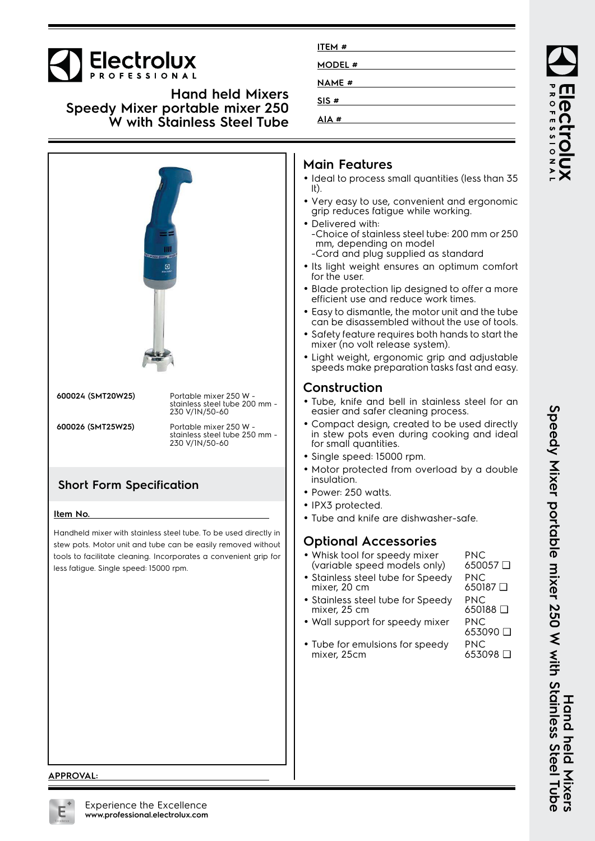

**Hand held Mixers Speedy Mixer portable mixer 250 W with Stainless Steel Tube**



**ITEM # MODEL # NAME # SIS # AIA #**

**APPROVAL:**

Speedy Nixer portaple mixer 250 W with Stainless Steel Tube **Speedy Mixer portable mixer 250 W with Stainless Steel Tube** Hand held Mixers **Hand held Mixers**